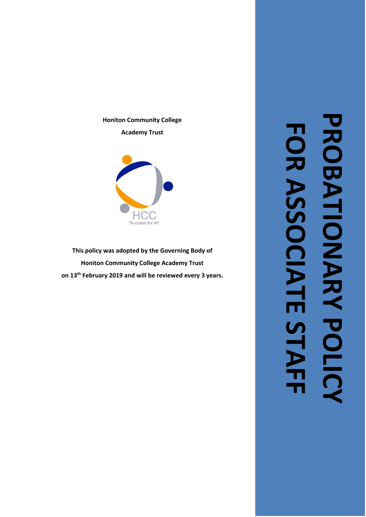

**This policy was adopted by the Governing Body of Honiton Community College Academy Trust on 1 3 th February 2019 and will be reviewed every 3 years .**

 $HC$ 'Success for All'

# **PROBATIONARY PROBATIONARY POLICY FOR ASSOCIATE STAFF**FOR ASSOCIATE STAF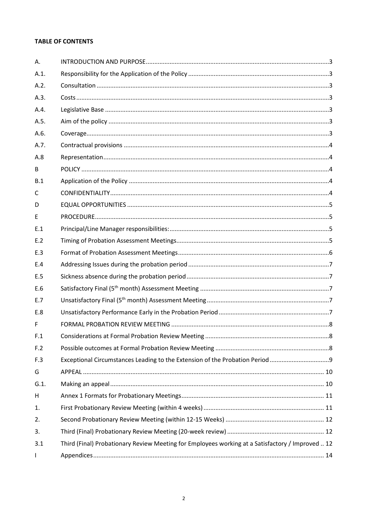# **TABLE OF CONTENTS**

| Α.   |                                                                                                  |  |
|------|--------------------------------------------------------------------------------------------------|--|
| A.1. |                                                                                                  |  |
| A.2. |                                                                                                  |  |
| A.3. |                                                                                                  |  |
| A.4. |                                                                                                  |  |
| A.5. |                                                                                                  |  |
| A.6. |                                                                                                  |  |
| A.7. |                                                                                                  |  |
| A.8  |                                                                                                  |  |
| B    |                                                                                                  |  |
| B.1  |                                                                                                  |  |
| C    |                                                                                                  |  |
| D    |                                                                                                  |  |
| E    |                                                                                                  |  |
| E.1  |                                                                                                  |  |
| E.2  |                                                                                                  |  |
| E.3  |                                                                                                  |  |
| E.4  |                                                                                                  |  |
| E.5  |                                                                                                  |  |
| E.6  |                                                                                                  |  |
| E.7  |                                                                                                  |  |
| E.8  |                                                                                                  |  |
| F    |                                                                                                  |  |
| F.1  |                                                                                                  |  |
| F.2  |                                                                                                  |  |
| F.3  |                                                                                                  |  |
| G    |                                                                                                  |  |
| G.1. |                                                                                                  |  |
| H    |                                                                                                  |  |
| 1.   |                                                                                                  |  |
| 2.   |                                                                                                  |  |
| 3.   |                                                                                                  |  |
| 3.1  | Third (Final) Probationary Review Meeting for Employees working at a Satisfactory / Improved  12 |  |
| I    |                                                                                                  |  |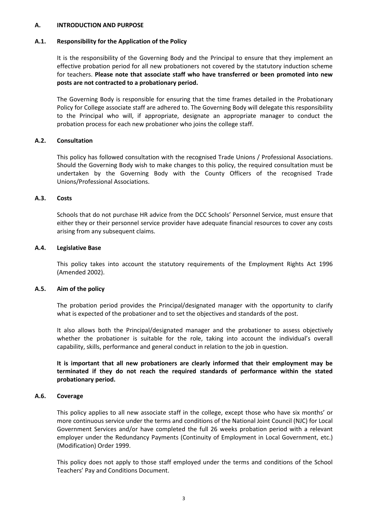#### <span id="page-2-0"></span>**A. INTRODUCTION AND PURPOSE**

#### <span id="page-2-1"></span>**A.1. Responsibility for the Application of the Policy**

It is the responsibility of the Governing Body and the Principal to ensure that they implement an effective probation period for all new probationers not covered by the statutory induction scheme for teachers. **Please note that associate staff who have transferred or been promoted into new posts are not contracted to a probationary period.**

The Governing Body is responsible for ensuring that the time frames detailed in the Probationary Policy for College associate staff are adhered to. The Governing Body will delegate this responsibility to the Principal who will, if appropriate, designate an appropriate manager to conduct the probation process for each new probationer who joins the college staff.

#### <span id="page-2-2"></span>**A.2. Consultation**

This policy has followed consultation with the recognised Trade Unions / Professional Associations. Should the Governing Body wish to make changes to this policy, the required consultation must be undertaken by the Governing Body with the County Officers of the recognised Trade Unions/Professional Associations.

#### <span id="page-2-3"></span>**A.3. Costs**

Schools that do not purchase HR advice from the DCC Schools' Personnel Service, must ensure that either they or their personnel service provider have adequate financial resources to cover any costs arising from any subsequent claims.

#### <span id="page-2-4"></span>**A.4. Legislative Base**

This policy takes into account the statutory requirements of the Employment Rights Act 1996 (Amended 2002).

#### <span id="page-2-5"></span>**A.5. Aim of the policy**

The probation period provides the Principal/designated manager with the opportunity to clarify what is expected of the probationer and to set the objectives and standards of the post.

It also allows both the Principal/designated manager and the probationer to assess objectively whether the probationer is suitable for the role, taking into account the individual's overall capability, skills, performance and general conduct in relation to the job in question.

**It is important that all new probationers are clearly informed that their employment may be terminated if they do not reach the required standards of performance within the stated probationary period.** 

#### <span id="page-2-6"></span>**A.6. Coverage**

This policy applies to all new associate staff in the college, except those who have six months' or more continuous service under the terms and conditions of the National Joint Council (NJC) for Local Government Services and/or have completed the full 26 weeks probation period with a relevant employer under the Redundancy Payments (Continuity of Employment in Local Government, etc.) (Modification) Order 1999.

This policy does not apply to those staff employed under the terms and conditions of the School Teachers' Pay and Conditions Document.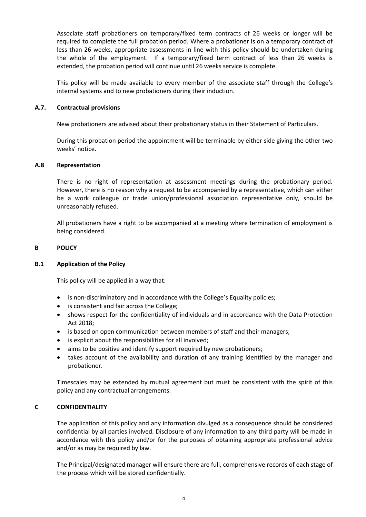Associate staff probationers on temporary/fixed term contracts of 26 weeks or longer will be required to complete the full probation period. Where a probationer is on a temporary contract of less than 26 weeks, appropriate assessments in line with this policy should be undertaken during the whole of the employment. If a temporary/fixed term contract of less than 26 weeks is extended, the probation period will continue until 26 weeks service is complete.

This policy will be made available to every member of the associate staff through the College's internal systems and to new probationers during their induction.

#### <span id="page-3-0"></span>**A.7. Contractual provisions**

New probationers are advised about their probationary status in their Statement of Particulars.

During this probation period the appointment will be terminable by either side giving the other two weeks' notice.

#### <span id="page-3-1"></span>**A.8 Representation**

There is no right of representation at assessment meetings during the probationary period. However, there is no reason why a request to be accompanied by a representative, which can either be a work colleague or trade union/professional association representative only, should be unreasonably refused.

All probationers have a right to be accompanied at a meeting where termination of employment is being considered.

#### <span id="page-3-2"></span>**B POLICY**

#### <span id="page-3-3"></span>**B.1 Application of the Policy**

This policy will be applied in a way that:

- is non-discriminatory and in accordance with the College's Equality policies;
- is consistent and fair across the College;
- shows respect for the confidentiality of individuals and in accordance with the Data Protection Act 2018;
- is based on open communication between members of staff and their managers;
- is explicit about the responsibilities for all involved;
- aims to be positive and identify support required by new probationers;
- takes account of the availability and duration of any training identified by the manager and probationer.

Timescales may be extended by mutual agreement but must be consistent with the spirit of this policy and any contractual arrangements.

## <span id="page-3-4"></span>**C CONFIDENTIALITY**

The application of this policy and any information divulged as a consequence should be considered confidential by all parties involved. Disclosure of any information to any third party will be made in accordance with this policy and/or for the purposes of obtaining appropriate professional advice and/or as may be required by law.

The Principal/designated manager will ensure there are full, comprehensive records of each stage of the process which will be stored confidentially.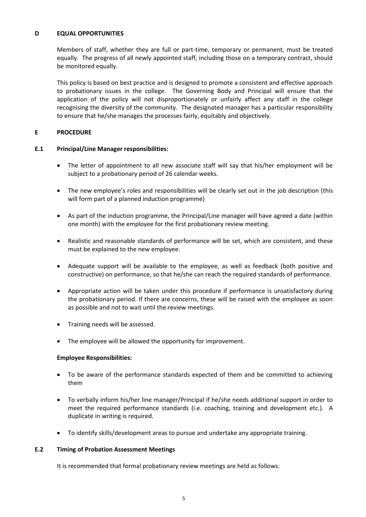# <span id="page-4-0"></span>**D EQUAL OPPORTUNITIES**

Members of staff, whether they are full or part-time, temporary or permanent, must be treated equally. The progress of all newly appointed staff, including those on a temporary contract, should be monitored equally.

This policy is based on best practice and is designed to promote a consistent and effective approach to probationary issues in the college. The Governing Body and Principal will ensure that the application of the policy will not disproportionately or unfairly affect any staff in the college recognising the diversity of the community. The designated manager has a particular responsibility to ensure that he/she manages the processes fairly, equitably and objectively.

# <span id="page-4-1"></span>**E PROCEDURE**

# <span id="page-4-2"></span>**E.1 Principal/Line Manager responsibilities:**

- The letter of appointment to all new associate staff will say that his/her employment will be subject to a probationary period of 26 calendar weeks.
- The new employee's roles and responsibilities will be clearly set out in the job description (this will form part of a planned induction programme)
- As part of the induction programme, the Principal/Line manager will have agreed a date (within one month) with the employee for the first probationary review meeting.
- Realistic and reasonable standards of performance will be set, which are consistent, and these must be explained to the new employee.
- Adequate support will be available to the employee, as well as feedback (both positive and constructive) on performance, so that he/she can reach the required standards of performance.
- Appropriate action will be taken under this procedure if performance is unsatisfactory during the probationary period. If there are concerns, these will be raised with the employee as soon as possible and not to wait until the review meetings.
- Training needs will be assessed.
- The employee will be allowed the opportunity for improvement.

#### **Employee Responsibilities:**

- To be aware of the performance standards expected of them and be committed to achieving them
- To verbally inform his/her line manager/Principal if he/she needs additional support in order to meet the required performance standards (i.e. coaching, training and development etc.). A duplicate in writing is required.
- To identify skills/development areas to pursue and undertake any appropriate training.

#### <span id="page-4-3"></span>**E.2 Timing of Probation Assessment Meetings**

It is recommended that formal probationary review meetings are held as follows: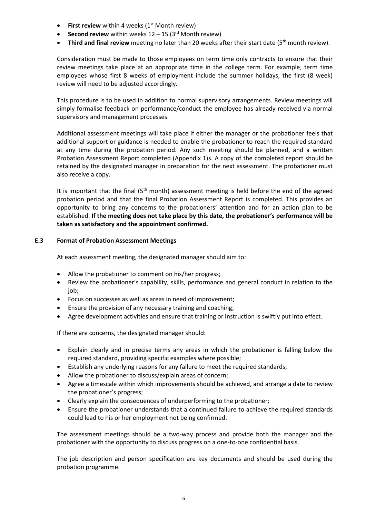- **First review** within 4 weeks (1<sup>st</sup> Month review)
- **Second review** within weeks  $12 15$  ( $3<sup>rd</sup>$  Month review)
- **Third and final review** meeting no later than 20 weeks after their start date (5<sup>th</sup> month review).

Consideration must be made to those employees on term time only contracts to ensure that their review meetings take place at an appropriate time in the college term. For example, term time employees whose first 8 weeks of employment include the summer holidays, the first (8 week) review will need to be adjusted accordingly.

This procedure is to be used in addition to normal supervisory arrangements. Review meetings will simply formalise feedback on performance/conduct the employee has already received via normal supervisory and management processes.

Additional assessment meetings will take place if either the manager or the probationer feels that additional support or guidance is needed to enable the probationer to reach the required standard at any time during the probation period. Any such meeting should be planned, and a written Probation Assessment Report completed (Appendix 1)s. A copy of the completed report should be retained by the designated manager in preparation for the next assessment. The probationer must also receive a copy.

It is important that the final  $(5<sup>th</sup>$  month) assessment meeting is held before the end of the agreed probation period and that the final Probation Assessment Report is completed. This provides an opportunity to bring any concerns to the probationers' attention and for an action plan to be established. **If the meeting does not take place by this date, the probationer's performance will be taken as satisfactory and the appointment confirmed.**

#### <span id="page-5-0"></span>**E.3 Format of Probation Assessment Meetings**

At each assessment meeting, the designated manager should aim to:

- Allow the probationer to comment on his/her progress;
- Review the probationer's capability, skills, performance and general conduct in relation to the job;
- Focus on successes as well as areas in need of improvement;
- Ensure the provision of any necessary training and coaching;
- Agree development activities and ensure that training or instruction is swiftly put into effect.

If there are concerns, the designated manager should:

- Explain clearly and in precise terms any areas in which the probationer is falling below the required standard, providing specific examples where possible;
- Establish any underlying reasons for any failure to meet the required standards;
- Allow the probationer to discuss/explain areas of concern;
- Agree a timescale within which improvements should be achieved, and arrange a date to review the probationer's progress;
- Clearly explain the consequences of underperforming to the probationer;
- Ensure the probationer understands that a continued failure to achieve the required standards could lead to his or her employment not being confirmed.

The assessment meetings should be a two-way process and provide both the manager and the probationer with the opportunity to discuss progress on a one-to-one confidential basis.

The job description and person specification are key documents and should be used during the probation programme.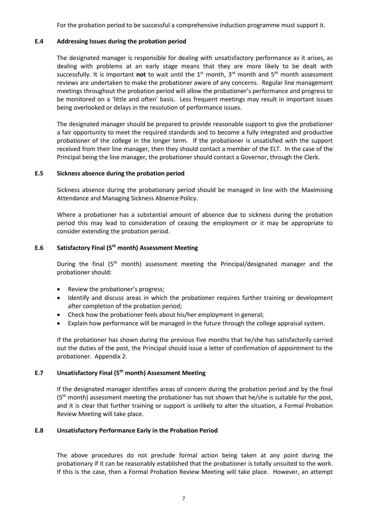For the probation period to be successful a comprehensive induction programme must support it.

## <span id="page-6-0"></span>**E.4 Addressing Issues during the probation period**

The designated manager is responsible for dealing with unsatisfactory performance as it arises, as dealing with problems at an early stage means that they are more likely to be dealt with successfully. It is important **not** to wait until the 1<sup>st</sup> month, 3<sup>rd</sup> month and 5<sup>th</sup> month assessment reviews are undertaken to make the probationer aware of any concerns. Regular line management meetings throughout the probation period will allow the probationer's performance and progress to be monitored on a 'little and often' basis. Less frequent meetings may result in important issues being overlooked or delays in the resolution of performance issues.

The designated manager should be prepared to provide reasonable support to give the probationer a fair opportunity to meet the required standards and to become a fully integrated and productive probationer of the college in the longer term. If the probationer is unsatisfied with the support received from their line manager, then they should contact a member of the ELT. In the case of the Principal being the line manager, the probationer should contact a Governor, through the Clerk.

#### <span id="page-6-1"></span>**E.5 Sickness absence during the probation period**

Sickness absence during the probationary period should be managed in line with the Maximising Attendance and Managing Sickness Absence Policy.

Where a probationer has a substantial amount of absence due to sickness during the probation period this may lead to consideration of ceasing the employment or it may be appropriate to consider extending the probation period.

# <span id="page-6-2"></span>**E.6 Satisfactory Final (5th month) Assessment Meeting**

During the final (5<sup>th</sup> month) assessment meeting the Principal/designated manager and the probationer should:

- Review the probationer's progress;
- Identify and discuss areas in which the probationer requires further training or development after completion of the probation period;
- Check how the probationer feels about his/her employment in general;
- Explain how performance will be managed in the future through the college appraisal system.

If the probationer has shown during the previous five months that he/she has satisfactorily carried out the duties of the post, the Principal should issue a letter of confirmation of appointment to the probationer. Appendix 2.

# <span id="page-6-3"></span>**E.7 Unsatisfactory Final (5th month) Assessment Meeting**

If the designated manager identifies areas of concern during the probation period and by the final  $(5<sup>th</sup>$  month) assessment meeting the probationer has not shown that he/she is suitable for the post, and it is clear that further training or support is unlikely to alter the situation, a Formal Probation Review Meeting will take place.

#### <span id="page-6-4"></span>**E.8 Unsatisfactory Performance Early in the Probation Period**

The above procedures do not preclude formal action being taken at any point during the probationary if it can be reasonably established that the probationer is totally unsuited to the work. If this is the case, then a Formal Probation Review Meeting will take place. However, an attempt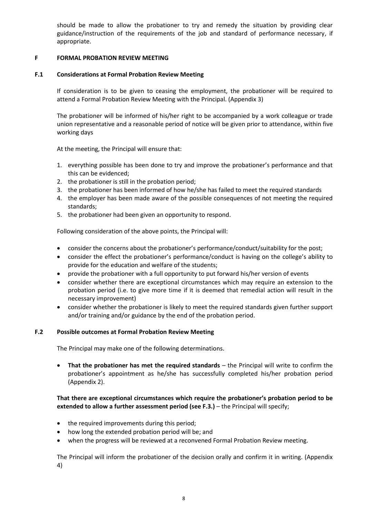should be made to allow the probationer to try and remedy the situation by providing clear guidance/instruction of the requirements of the job and standard of performance necessary, if appropriate.

## <span id="page-7-0"></span>**F FORMAL PROBATION REVIEW MEETING**

## <span id="page-7-1"></span>**F.1 Considerations at Formal Probation Review Meeting**

If consideration is to be given to ceasing the employment, the probationer will be required to attend a Formal Probation Review Meeting with the Principal. (Appendix 3)

The probationer will be informed of his/her right to be accompanied by a work colleague or trade union representative and a reasonable period of notice will be given prior to attendance, within five working days

At the meeting, the Principal will ensure that:

- 1. everything possible has been done to try and improve the probationer's performance and that this can be evidenced;
- 2. the probationer is still in the probation period;
- 3. the probationer has been informed of how he/she has failed to meet the required standards
- 4. the employer has been made aware of the possible consequences of not meeting the required standards;
- 5. the probationer had been given an opportunity to respond.

Following consideration of the above points, the Principal will:

- consider the concerns about the probationer's performance/conduct/suitability for the post;
- consider the effect the probationer's performance/conduct is having on the college's ability to provide for the education and welfare of the students;
- provide the probationer with a full opportunity to put forward his/her version of events
- consider whether there are exceptional circumstances which may require an extension to the probation period (i.e. to give more time if it is deemed that remedial action will result in the necessary improvement)
- consider whether the probationer is likely to meet the required standards given further support and/or training and/or guidance by the end of the probation period.

#### <span id="page-7-2"></span>**F.2 Possible outcomes at Formal Probation Review Meeting**

The Principal may make one of the following determinations.

 **That the probationer has met the required standards** – the Principal will write to confirm the probationer's appointment as he/she has successfully completed his/her probation period (Appendix 2).

# **That there are exceptional circumstances which require the probationer's probation period to be extended to allow a further assessment period (see F.3.)** – the Principal will specify;

- the required improvements during this period;
- how long the extended probation period will be; and
- when the progress will be reviewed at a reconvened Formal Probation Review meeting.

The Principal will inform the probationer of the decision orally and confirm it in writing. (Appendix 4)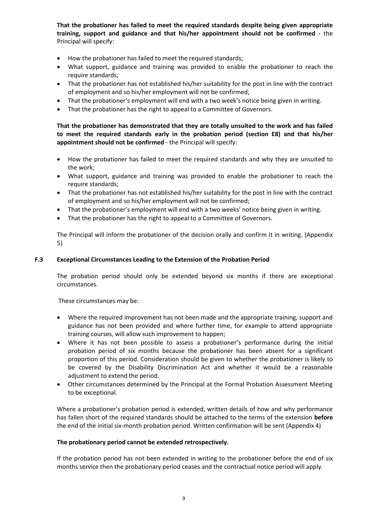**That the probationer has failed to meet the required standards despite being given appropriate training, support and guidance and that his/her appointment should not be confirmed** - the Principal will specify:

- How the probationer has failed to meet the required standards;
- What support, guidance and training was provided to enable the probationer to reach the require standards;
- That the probationer has not established his/her suitability for the post in line with the contract of employment and so his/her employment will not be confirmed;
- That the probationer's employment will end with a two week's notice being given in writing.
- That the probationer has the right to appeal to a Committee of Governors.

**That the probationer has demonstrated that they are totally unsuited to the work and has failed to meet the required standards early in the probation period (section E8) and that his/her appointment should not be confirmed** - the Principal will specify:

- How the probationer has failed to meet the required standards and why they are unsuited to the work;
- What support, guidance and training was provided to enable the probationer to reach the require standards;
- That the probationer has not established his/her suitability for the post in line with the contract of employment and so his/her employment will not be confirmed;
- That the probationer's employment will end with a two weeks' notice being given in writing.
- That the probationer has the right to appeal to a Committee of Governors.

The Principal will inform the probationer of the decision orally and confirm it in writing. (Appendix 5)

#### <span id="page-8-0"></span>**F.3 Exceptional Circumstances Leading to the Extension of the Probation Period**

The probation period should only be extended beyond six months if there are exceptional circumstances.

These circumstances may be:

- Where the required improvement has not been made and the appropriate training, support and guidance has not been provided and where further time, for example to attend appropriate training courses, will allow such improvement to happen;
- Where it has not been possible to assess a probationer's performance during the initial probation period of six months because the probationer has been absent for a significant proportion of this period. Consideration should be given to whether the probationer is likely to be covered by the Disability Discrimination Act and whether it would be a reasonable adjustment to extend the period.
- Other circumstances determined by the Principal at the Formal Probation Assessment Meeting to be exceptional.

Where a probationer's probation period is extended, written details of how and why performance has fallen short of the required standards should be attached to the terms of the extension **before** the end of the initial six-month probation period. Written confirmation will be sent (Appendix 4)

#### **The probationary period cannot be extended retrospectively.**

If the probation period has not been extended in writing to the probationer before the end of six months service then the probationary period ceases and the contractual notice period will apply.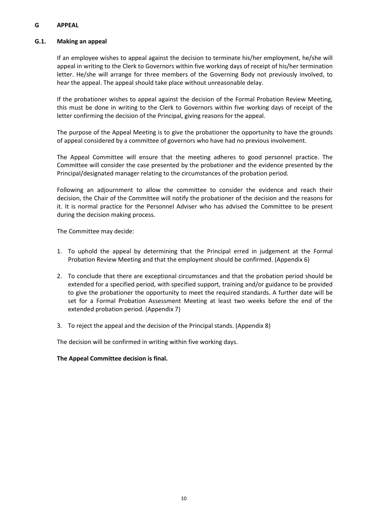# <span id="page-9-0"></span>**G APPEAL**

#### <span id="page-9-1"></span>**G.1. Making an appeal**

If an employee wishes to appeal against the decision to terminate his/her employment, he/she will appeal in writing to the Clerk to Governors within five working days of receipt of his/her termination letter. He/she will arrange for three members of the Governing Body not previously involved, to hear the appeal. The appeal should take place without unreasonable delay.

If the probationer wishes to appeal against the decision of the Formal Probation Review Meeting, this must be done in writing to the Clerk to Governors within five working days of receipt of the letter confirming the decision of the Principal, giving reasons for the appeal.

The purpose of the Appeal Meeting is to give the probationer the opportunity to have the grounds of appeal considered by a committee of governors who have had no previous involvement.

The Appeal Committee will ensure that the meeting adheres to good personnel practice. The Committee will consider the case presented by the probationer and the evidence presented by the Principal/designated manager relating to the circumstances of the probation period.

Following an adjournment to allow the committee to consider the evidence and reach their decision, the Chair of the Committee will notify the probationer of the decision and the reasons for it. It is normal practice for the Personnel Adviser who has advised the Committee to be present during the decision making process.

The Committee may decide:

- 1. To uphold the appeal by determining that the Principal erred in judgement at the Formal Probation Review Meeting and that the employment should be confirmed. (Appendix 6)
- 2. To conclude that there are exceptional circumstances and that the probation period should be extended for a specified period, with specified support, training and/or guidance to be provided to give the probationer the opportunity to meet the required standards. A further date will be set for a Formal Probation Assessment Meeting at least two weeks before the end of the extended probation period. (Appendix 7)
- 3. To reject the appeal and the decision of the Principal stands. (Appendix 8)

The decision will be confirmed in writing within five working days.

#### **The Appeal Committee decision is final.**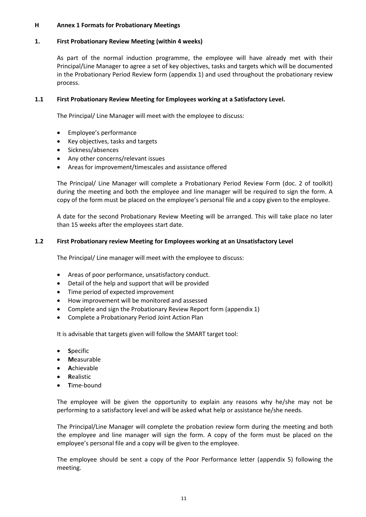#### <span id="page-10-0"></span>**H Annex 1 Formats for Probationary Meetings**

# <span id="page-10-1"></span>**1. First Probationary Review Meeting (within 4 weeks)**

As part of the normal induction programme, the employee will have already met with their Principal/Line Manager to agree a set of key objectives, tasks and targets which will be documented in the Probationary Period Review form (appendix 1) and used throughout the probationary review process.

# **1.1 First Probationary Review Meeting for Employees working at a Satisfactory Level.**

The Principal/ Line Manager will meet with the employee to discuss:

- Employee's performance
- Key objectives, tasks and targets
- Sickness/absences
- Any other concerns/relevant issues
- Areas for improvement/timescales and assistance offered

The Principal/ Line Manager will complete a Probationary Period Review Form (doc. 2 of toolkit) during the meeting and both the employee and line manager will be required to sign the form. A copy of the form must be placed on the employee's personal file and a copy given to the employee.

A date for the second Probationary Review Meeting will be arranged. This will take place no later than 15 weeks after the employees start date.

#### **1.2 First Probationary review Meeting for Employees working at an Unsatisfactory Level**

The Principal/ Line manager will meet with the employee to discuss:

- Areas of poor performance, unsatisfactory conduct.
- Detail of the help and support that will be provided
- Time period of expected improvement
- How improvement will be monitored and assessed
- Complete and sign the Probationary Review Report form (appendix 1)
- Complete a Probationary Period Joint Action Plan

It is advisable that targets given will follow the SMART target tool:

- **S**pecific
- **M**easurable
- **A**chievable
- **R**ealistic
- **T**ime-bound

The employee will be given the opportunity to explain any reasons why he/she may not be performing to a satisfactory level and will be asked what help or assistance he/she needs.

The Principal/Line Manager will complete the probation review form during the meeting and both the employee and line manager will sign the form. A copy of the form must be placed on the employee's personal file and a copy will be given to the employee.

The employee should be sent a copy of the Poor Performance letter (appendix 5) following the meeting.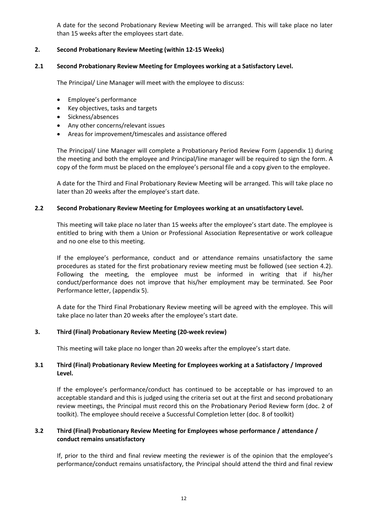A date for the second Probationary Review Meeting will be arranged. This will take place no later than 15 weeks after the employees start date.

## <span id="page-11-0"></span>**2. Second Probationary Review Meeting (within 12-15 Weeks)**

#### **2.1 Second Probationary Review Meeting for Employees working at a Satisfactory Level.**

The Principal/ Line Manager will meet with the employee to discuss:

- Employee's performance
- Key objectives, tasks and targets
- Sickness/absences
- Any other concerns/relevant issues
- Areas for improvement/timescales and assistance offered

The Principal/ Line Manager will complete a Probationary Period Review Form (appendix 1) during the meeting and both the employee and Principal/line manager will be required to sign the form. A copy of the form must be placed on the employee's personal file and a copy given to the employee.

A date for the Third and Final Probationary Review Meeting will be arranged. This will take place no later than 20 weeks after the employee's start date.

#### **2.2 Second Probationary Review Meeting for Employees working at an unsatisfactory Level.**

This meeting will take place no later than 15 weeks after the employee's start date. The employee is entitled to bring with them a Union or Professional Association Representative or work colleague and no one else to this meeting.

If the employee's performance, conduct and or attendance remains unsatisfactory the same procedures as stated for the first probationary review meeting must be followed (see section 4.2). Following the meeting, the employee must be informed in writing that if his/her conduct/performance does not improve that his/her employment may be terminated. See Poor Performance letter, (appendix 5).

A date for the Third Final Probationary Review meeting will be agreed with the employee. This will take place no later than 20 weeks after the employee's start date.

#### <span id="page-11-1"></span>**3. Third (Final) Probationary Review Meeting (20-week review)**

This meeting will take place no longer than 20 weeks after the employee's start date.

# <span id="page-11-2"></span>**3.1 Third (Final) Probationary Review Meeting for Employees working at a Satisfactory / Improved Level.**

If the employee's performance/conduct has continued to be acceptable or has improved to an acceptable standard and this is judged using the criteria set out at the first and second probationary review meetings, the Principal must record this on the Probationary Period Review form (doc. 2 of toolkit). The employee should receive a Successful Completion letter (doc. 8 of toolkit)

# **3.2 Third (Final) Probationary Review Meeting for Employees whose performance / attendance / conduct remains unsatisfactory**

If, prior to the third and final review meeting the reviewer is of the opinion that the employee's performance/conduct remains unsatisfactory, the Principal should attend the third and final review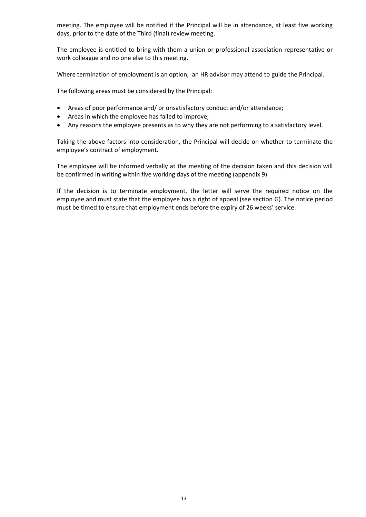meeting. The employee will be notified if the Principal will be in attendance, at least five working days, prior to the date of the Third (final) review meeting.

The employee is entitled to bring with them a union or professional association representative or work colleague and no one else to this meeting.

Where termination of employment is an option, an HR advisor may attend to guide the Principal.

The following areas must be considered by the Principal:

- Areas of poor performance and/ or unsatisfactory conduct and/or attendance;
- Areas in which the employee has failed to improve;
- Any reasons the employee presents as to why they are not performing to a satisfactory level.

Taking the above factors into consideration, the Principal will decide on whether to terminate the employee's contract of employment.

The employee will be informed verbally at the meeting of the decision taken and this decision will be confirmed in writing within five working days of the meeting (appendix 9)

If the decision is to terminate employment, the letter will serve the required notice on the employee and must state that the employee has a right of appeal (see section G). The notice period must be timed to ensure that employment ends before the expiry of 26 weeks' service.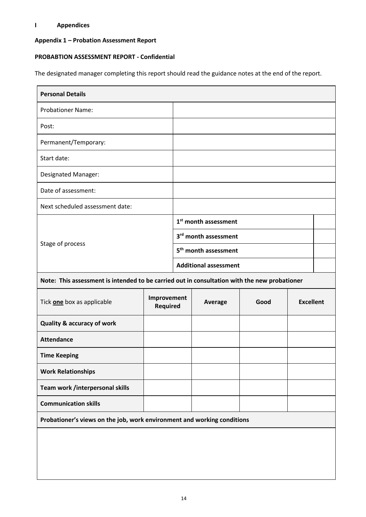# <span id="page-13-0"></span>**I Appendices**

# **Appendix 1 – Probation Assessment Report**

# **PROBABTION ASSESSMENT REPORT - Confidential**

The designated manager completing this report should read the guidance notes at the end of the report.

| <b>Personal Details</b>                                                                      |                                |                              |                                  |      |                  |  |  |  |
|----------------------------------------------------------------------------------------------|--------------------------------|------------------------------|----------------------------------|------|------------------|--|--|--|
| <b>Probationer Name:</b>                                                                     |                                |                              |                                  |      |                  |  |  |  |
| Post:                                                                                        |                                |                              |                                  |      |                  |  |  |  |
| Permanent/Temporary:                                                                         |                                |                              |                                  |      |                  |  |  |  |
| Start date:                                                                                  |                                |                              |                                  |      |                  |  |  |  |
| <b>Designated Manager:</b>                                                                   |                                |                              |                                  |      |                  |  |  |  |
| Date of assessment:                                                                          |                                |                              |                                  |      |                  |  |  |  |
| Next scheduled assessment date:                                                              |                                |                              |                                  |      |                  |  |  |  |
| Stage of process                                                                             |                                |                              | 1 <sup>st</sup> month assessment |      |                  |  |  |  |
|                                                                                              |                                |                              | 3rd month assessment             |      |                  |  |  |  |
|                                                                                              |                                |                              | 5 <sup>th</sup> month assessment |      |                  |  |  |  |
|                                                                                              |                                | <b>Additional assessment</b> |                                  |      |                  |  |  |  |
| Note: This assessment is intended to be carried out in consultation with the new probationer |                                |                              |                                  |      |                  |  |  |  |
| Tick one box as applicable                                                                   | Improvement<br><b>Required</b> |                              | <b>Average</b>                   | Good | <b>Excellent</b> |  |  |  |
| <b>Quality &amp; accuracy of work</b>                                                        |                                |                              |                                  |      |                  |  |  |  |
| <b>Attendance</b>                                                                            |                                |                              |                                  |      |                  |  |  |  |
| <b>Time Keeping</b>                                                                          |                                |                              |                                  |      |                  |  |  |  |
| <b>Work Relationships</b>                                                                    |                                |                              |                                  |      |                  |  |  |  |
| Team work /interpersonal skills                                                              |                                |                              |                                  |      |                  |  |  |  |
| <b>Communication skills</b>                                                                  |                                |                              |                                  |      |                  |  |  |  |
| Probationer's views on the job, work environment and working conditions                      |                                |                              |                                  |      |                  |  |  |  |
|                                                                                              |                                |                              |                                  |      |                  |  |  |  |
|                                                                                              |                                |                              |                                  |      |                  |  |  |  |
|                                                                                              |                                |                              |                                  |      |                  |  |  |  |
|                                                                                              |                                |                              |                                  |      |                  |  |  |  |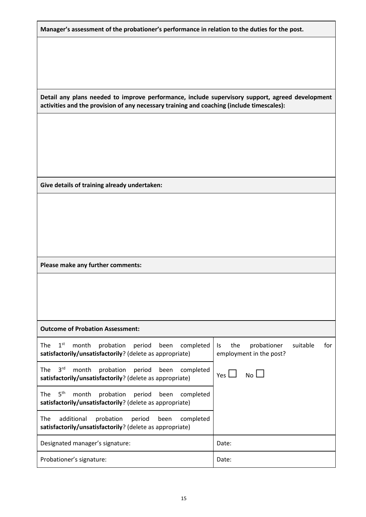**Manager's assessment of the probationer's performance in relation to the duties for the post.**

**Detail any plans needed to improve performance, include supervisory support, agreed development activities and the provision of any necessary training and coaching (include timescales):**

**Give details of training already undertaken:**

**Please make any further comments:**

**Outcome of Probation Assessment:**

| $1^\mathrm{st}$<br>The<br>month probation period been completed<br>satisfactorily/unsatisfactorily? (delete as appropriate)       | for<br>probationer<br>suitable<br>the<br>Is.<br>employment in the post? |
|-----------------------------------------------------------------------------------------------------------------------------------|-------------------------------------------------------------------------|
| 3 <sup>rd</sup><br>The<br>probation period been<br>month<br>completed<br>satisfactorily/unsatisfactorily? (delete as appropriate) | $N0$ $\Box$<br>Yes L                                                    |
| $5^{\text{th}}$<br>The<br>month<br>probation period been<br>completed<br>satisfactorily/unsatisfactorily? (delete as appropriate) |                                                                         |
| The<br>probation<br>additional<br>period<br>completed<br>been<br>satisfactorily/unsatisfactorily? (delete as appropriate)         |                                                                         |
| Designated manager's signature:                                                                                                   | Date:                                                                   |
| Probationer's signature:                                                                                                          | Date:                                                                   |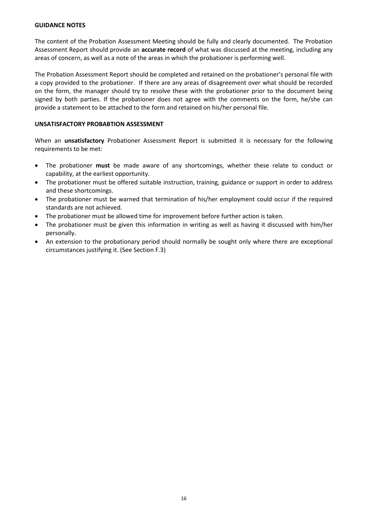#### **GUIDANCE NOTES**

The content of the Probation Assessment Meeting should be fully and clearly documented. The Probation Assessment Report should provide an **accurate record** of what was discussed at the meeting, including any areas of concern, as well as a note of the areas in which the probationer is performing well.

The Probation Assessment Report should be completed and retained on the probationer's personal file with a copy provided to the probationer. If there are any areas of disagreement over what should be recorded on the form, the manager should try to resolve these with the probationer prior to the document being signed by both parties. If the probationer does not agree with the comments on the form, he/she can provide a statement to be attached to the form and retained on his/her personal file.

#### **UNSATISFACTORY PROBABTION ASSESSMENT**

When an **unsatisfactory** Probationer Assessment Report is submitted it is necessary for the following requirements to be met:

- The probationer **must** be made aware of any shortcomings, whether these relate to conduct or capability, at the earliest opportunity.
- The probationer must be offered suitable instruction, training, guidance or support in order to address and these shortcomings.
- The probationer must be warned that termination of his/her employment could occur if the required standards are not achieved.
- The probationer must be allowed time for improvement before further action is taken.
- The probationer must be given this information in writing as well as having it discussed with him/her personally.
- An extension to the probationary period should normally be sought only where there are exceptional circumstances justifying it. (See Section F.3)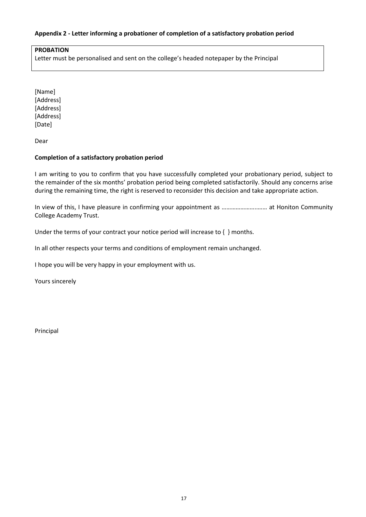# **Appendix 2 - Letter informing a probationer of completion of a satisfactory probation period**

#### **PROBATION**

Letter must be personalised and sent on the college's headed notepaper by the Principal

[Name] [Address] [Address] [Address] [Date]

Dear

#### **Completion of a satisfactory probation period**

I am writing to you to confirm that you have successfully completed your probationary period, subject to the remainder of the six months' probation period being completed satisfactorily. Should any concerns arise during the remaining time, the right is reserved to reconsider this decision and take appropriate action.

In view of this, I have pleasure in confirming your appointment as …………………..…… at Honiton Community College Academy Trust.

Under the terms of your contract your notice period will increase to { } months.

In all other respects your terms and conditions of employment remain unchanged.

I hope you will be very happy in your employment with us.

Yours sincerely

Principal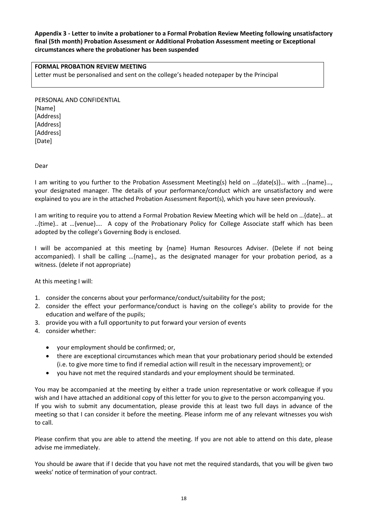# **Appendix 3 - Letter to invite a probationer to a Formal Probation Review Meeting following unsatisfactory final (5th month) Probation Assessment or Additional Probation Assessment meeting or Exceptional circumstances where the probationer has been suspended**

### **FORMAL PROBATION REVIEW MEETING**

Letter must be personalised and sent on the college's headed notepaper by the Principal

PERSONAL AND CONFIDENTIAL [Name] [Address] [Address] [Address] [Date]

Dear

I am writing to you further to the Probation Assessment Meeting(s) held on …{date(s)}… with …{name}…, your designated manager. The details of your performance/conduct which are unsatisfactory and were explained to you are in the attached Probation Assessment Report(s), which you have seen previously.

I am writing to require you to attend a Formal Probation Review Meeting which will be held on …{date}… at ..{time}.. at …{venue}…. A copy of the Probationary Policy for College Associate staff which has been adopted by the college's Governing Body is enclosed.

I will be accompanied at this meeting by {name} Human Resources Adviser. (Delete if not being accompanied). I shall be calling …{name}., as the designated manager for your probation period, as a witness. (delete if not appropriate)

At this meeting I will:

- 1. consider the concerns about your performance/conduct/suitability for the post;
- 2. consider the effect your performance/conduct is having on the college's ability to provide for the education and welfare of the pupils;
- 3. provide you with a full opportunity to put forward your version of events
- 4. consider whether:
	- your employment should be confirmed; or,
	- there are exceptional circumstances which mean that your probationary period should be extended (i.e. to give more time to find if remedial action will result in the necessary improvement); or
	- you have not met the required standards and your employment should be terminated.

You may be accompanied at the meeting by either a trade union representative or work colleague if you wish and I have attached an additional copy of this letter for you to give to the person accompanying you. If you wish to submit any documentation, please provide this at least two full days in advance of the meeting so that I can consider it before the meeting. Please inform me of any relevant witnesses you wish to call.

Please confirm that you are able to attend the meeting. If you are not able to attend on this date, please advise me immediately.

You should be aware that if I decide that you have not met the required standards, that you will be given two weeks' notice of termination of your contract.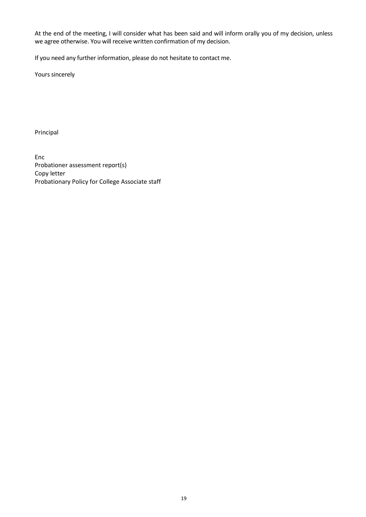At the end of the meeting, I will consider what has been said and will inform orally you of my decision, unless we agree otherwise. You will receive written confirmation of my decision.

If you need any further information, please do not hesitate to contact me.

Yours sincerely

Principal

Enc Probationer assessment report(s) Copy letter Probationary Policy for College Associate staff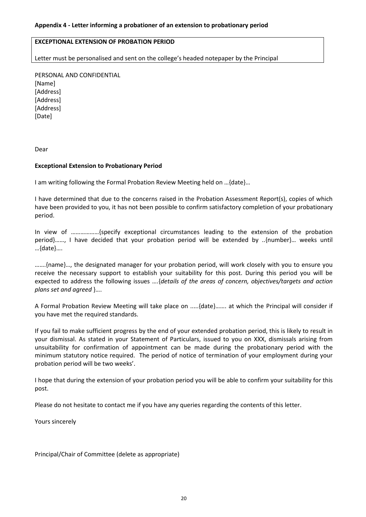# **EXCEPTIONAL EXTENSION OF PROBATION PERIOD**

Letter must be personalised and sent on the college's headed notepaper by the Principal

PERSONAL AND CONFIDENTIAL [Name] [Address] [Address] [Address] [Date]

Dear

#### **Exceptional Extension to Probationary Period**

I am writing following the Formal Probation Review Meeting held on …{date}…

I have determined that due to the concerns raised in the Probation Assessment Report(s), copies of which have been provided to you, it has not been possible to confirm satisfactory completion of your probationary period.

In view of ………………{specify exceptional circumstances leading to the extension of the probation period}……, I have decided that your probation period will be extended by ..{number}… weeks until …{date}….

…….{name}…, the designated manager for your probation period, will work closely with you to ensure you receive the necessary support to establish your suitability for this post. During this period you will be expected to address the following issues ….{*details of the areas of concern, objectives/targets and action plans set and agreed* }….

A Formal Probation Review Meeting will take place on .....{date}……. at which the Principal will consider if you have met the required standards.

If you fail to make sufficient progress by the end of your extended probation period, this is likely to result in your dismissal. As stated in your Statement of Particulars, issued to you on XXX, dismissals arising from unsuitability for confirmation of appointment can be made during the probationary period with the minimum statutory notice required. The period of notice of termination of your employment during your probation period will be two weeks'.

I hope that during the extension of your probation period you will be able to confirm your suitability for this post.

Please do not hesitate to contact me if you have any queries regarding the contents of this letter.

Yours sincerely

Principal/Chair of Committee (delete as appropriate)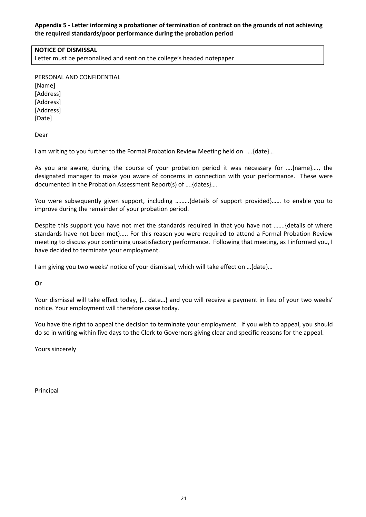# **Appendix 5 - Letter informing a probationer of termination of contract on the grounds of not achieving the required standards/poor performance during the probation period**

# **NOTICE OF DISMISSAL**

Letter must be personalised and sent on the college's headed notepaper

PERSONAL AND CONFIDENTIAL [Name] [Address] [Address] [Address] [Date]

Dear

I am writing to you further to the Formal Probation Review Meeting held on ….{date}…

As you are aware, during the course of your probation period it was necessary for ….{name}…., the designated manager to make you aware of concerns in connection with your performance. These were documented in the Probation Assessment Report(s) of ….{dates}….

You were subsequently given support, including ………{details of support provided}…… to enable you to improve during the remainder of your probation period.

Despite this support you have not met the standards required in that you have not …….{details of where standards have not been met}….. For this reason you were required to attend a Formal Probation Review meeting to discuss your continuing unsatisfactory performance. Following that meeting, as I informed you, I have decided to terminate your employment.

I am giving you two weeks' notice of your dismissal, which will take effect on …{date}…

**Or**

Your dismissal will take effect today, {... date...} and you will receive a payment in lieu of your two weeks' notice. Your employment will therefore cease today.

You have the right to appeal the decision to terminate your employment. If you wish to appeal, you should do so in writing within five days to the Clerk to Governors giving clear and specific reasons for the appeal.

Yours sincerely

Principal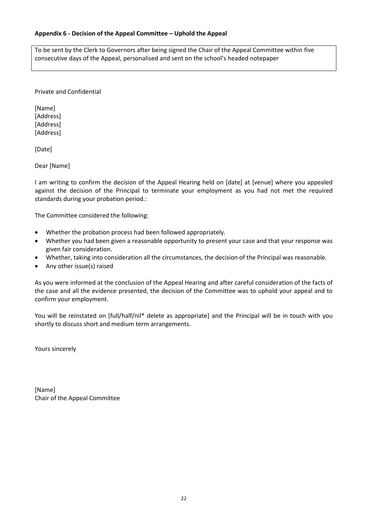## **Appendix 6 - Decision of the Appeal Committee – Uphold the Appeal**

To be sent by the Clerk to Governors after being signed the Chair of the Appeal Committee within five consecutive days of the Appeal, personalised and sent on the school's headed notepaper

Private and Confidential

[Name] [Address] [Address] [Address]

[Date]

Dear [Name]

I am writing to confirm the decision of the Appeal Hearing held on [date] at [venue] where you appealed against the decision of the Principal to terminate your employment as you had not met the required standards during your probation period.:

The Committee considered the following:

- Whether the probation process had been followed appropriately.
- Whether you had been given a reasonable opportunity to present your case and that your response was given fair consideration.
- Whether, taking into consideration all the circumstances, the decision of the Principal was reasonable.
- Any other issue(s) raised

As you were informed at the conclusion of the Appeal Hearing and after careful consideration of the facts of the case and all the evidence presented, the decision of the Committee was to uphold your appeal and to confirm your employment.

You will be reinstated on [full/half/nil\* delete as appropriate] and the Principal will be in touch with you shortly to discuss short and medium term arrangements.

Yours sincerely

[Name] Chair of the Appeal Committee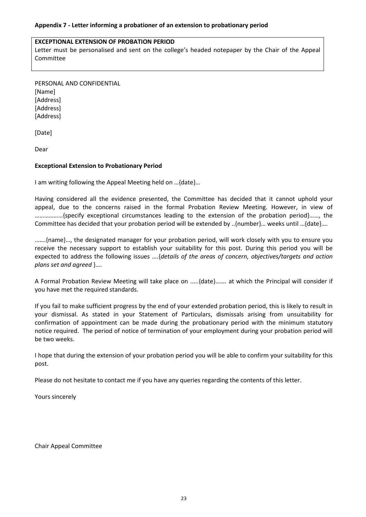### **EXCEPTIONAL EXTENSION OF PROBATION PERIOD**

Letter must be personalised and sent on the college's headed notepaper by the Chair of the Appeal Committee

PERSONAL AND CONFIDENTIAL

[Name] [Address] [Address] [Address]

[Date]

Dear

# **Exceptional Extension to Probationary Period**

I am writing following the Appeal Meeting held on …{date}…

Having considered all the evidence presented, the Committee has decided that it cannot uphold your appeal, due to the concerns raised in the formal Probation Review Meeting. However, in view of ………………{specify exceptional circumstances leading to the extension of the probation period}……, the Committee has decided that your probation period will be extended by ..{number}… weeks until …{date}….

…….{name}…, the designated manager for your probation period, will work closely with you to ensure you receive the necessary support to establish your suitability for this post. During this period you will be expected to address the following issues ….{*details of the areas of concern, objectives/targets and action plans set and agreed* }….

A Formal Probation Review Meeting will take place on .....{date}……. at which the Principal will consider if you have met the required standards.

If you fail to make sufficient progress by the end of your extended probation period, this is likely to result in your dismissal. As stated in your Statement of Particulars, dismissals arising from unsuitability for confirmation of appointment can be made during the probationary period with the minimum statutory notice required. The period of notice of termination of your employment during your probation period will be two weeks.

I hope that during the extension of your probation period you will be able to confirm your suitability for this post.

Please do not hesitate to contact me if you have any queries regarding the contents of this letter.

Yours sincerely

Chair Appeal Committee